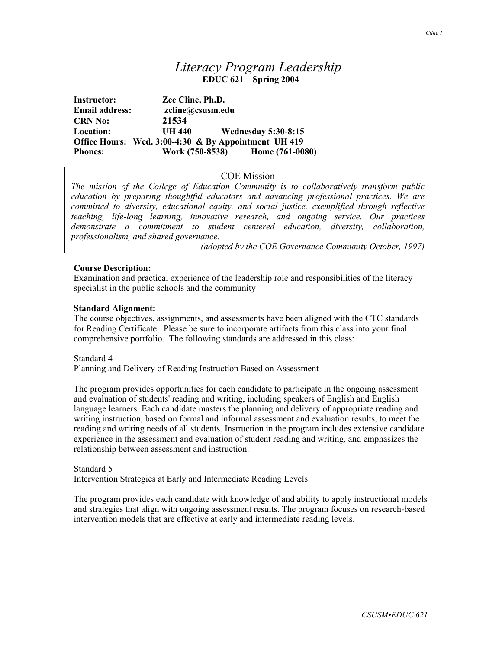# *Literacy Program Leadership* **EDUC 621—Spring 2004**

**Instructor: Zee Cline, Ph.D. Email address: zcline@csusm.edu CRN No: 21534 Location: UH 440 Wednesday 5:30-8:15 Office Hours: Wed. 3:00-4:30 & By Appointment UH 419 Phones:** Work (750-8538) **Home (761-0080)** 

## COE Mission

*The mission of the College of Education Community is to collaboratively transform public education by preparing thoughtful educators and advancing professional practices. We are committed to diversity, educational equity, and social justice, exemplified through reflective teaching, life-long learning, innovative research, and ongoing service. Our practices demonstrate a commitment to student centered education, diversity, collaboration, professionalism, and shared governance.* 

*(adopted by the COE Governance Community October, 1997)*

## **Course Description:**

Examination and practical experience of the leadership role and responsibilities of the literacy specialist in the public schools and the community

### **Standard Alignment:**

The course objectives, assignments, and assessments have been aligned with the CTC standards for Reading Certificate. Please be sure to incorporate artifacts from this class into your final comprehensive portfolio. The following standards are addressed in this class:

### Standard 4

Planning and Delivery of Reading Instruction Based on Assessment

The program provides opportunities for each candidate to participate in the ongoing assessment and evaluation of students' reading and writing, including speakers of English and English language learners. Each candidate masters the planning and delivery of appropriate reading and writing instruction, based on formal and informal assessment and evaluation results, to meet the reading and writing needs of all students. Instruction in the program includes extensive candidate experience in the assessment and evaluation of student reading and writing, and emphasizes the relationship between assessment and instruction.

### Standard 5

Intervention Strategies at Early and Intermediate Reading Levels

The program provides each candidate with knowledge of and ability to apply instructional models and strategies that align with ongoing assessment results. The program focuses on research-based intervention models that are effective at early and intermediate reading levels.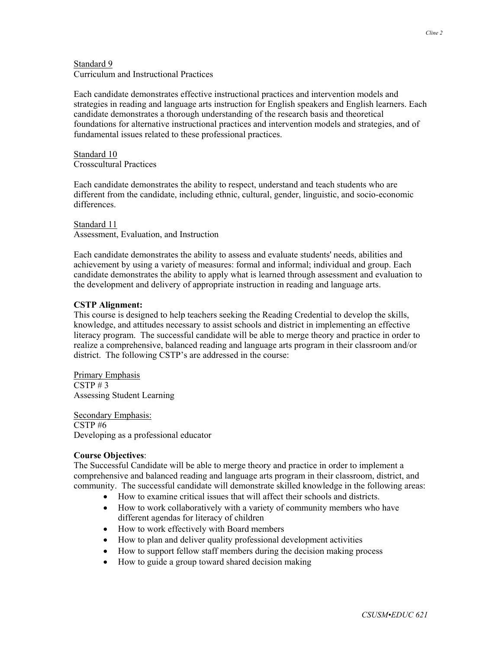#### Standard 9 Curriculum and Instructional Practices

Each candidate demonstrates effective instructional practices and intervention models and strategies in reading and language arts instruction for English speakers and English learners. Each candidate demonstrates a thorough understanding of the research basis and theoretical foundations for alternative instructional practices and intervention models and strategies, and of fundamental issues related to these professional practices.

#### Standard 10 Crosscultural Practices

Each candidate demonstrates the ability to respect, understand and teach students who are different from the candidate, including ethnic, cultural, gender, linguistic, and socio-economic differences.

#### Standard 11 Assessment, Evaluation, and Instruction

Each candidate demonstrates the ability to assess and evaluate students' needs, abilities and achievement by using a variety of measures: formal and informal; individual and group. Each candidate demonstrates the ability to apply what is learned through assessment and evaluation to the development and delivery of appropriate instruction in reading and language arts.

## **CSTP Alignment:**

This course is designed to help teachers seeking the Reading Credential to develop the skills, knowledge, and attitudes necessary to assist schools and district in implementing an effective literacy program. The successful candidate will be able to merge theory and practice in order to realize a comprehensive, balanced reading and language arts program in their classroom and/or district. The following CSTP's are addressed in the course:

Primary Emphasis  $CSTP \# 3$ Assessing Student Learning

Secondary Emphasis: CSTP #6 Developing as a professional educator

## **Course Objectives**:

The Successful Candidate will be able to merge theory and practice in order to implement a comprehensive and balanced reading and language arts program in their classroom, district, and community. The successful candidate will demonstrate skilled knowledge in the following areas:

- How to examine critical issues that will affect their schools and districts.
- How to work collaboratively with a variety of community members who have different agendas for literacy of children
- How to work effectively with Board members
- How to plan and deliver quality professional development activities
- How to support fellow staff members during the decision making process
- How to guide a group toward shared decision making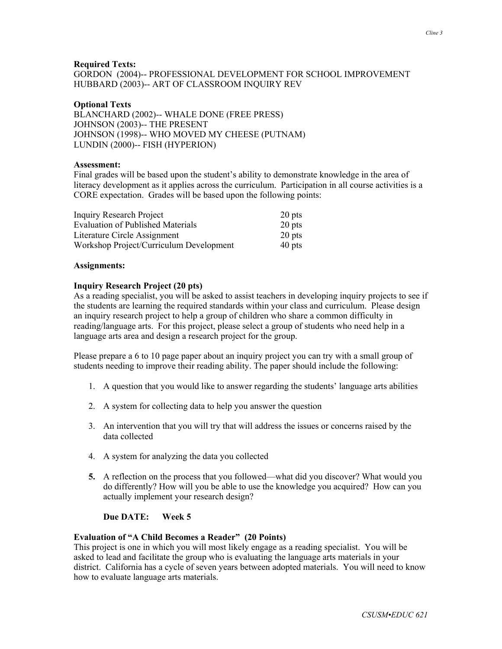### **Required Texts:**

GORDON (2004)-- PROFESSIONAL DEVELOPMENT FOR SCHOOL IMPROVEMENT HUBBARD (2003)-- ART OF CLASSROOM INQUIRY REV

#### **Optional Texts**

BLANCHARD (2002)-- WHALE DONE (FREE PRESS) JOHNSON (2003)-- THE PRESENT JOHNSON (1998)-- WHO MOVED MY CHEESE (PUTNAM) LUNDIN (2000)-- FISH (HYPERION)

#### **Assessment:**

Final grades will be based upon the student's ability to demonstrate knowledge in the area of literacy development as it applies across the curriculum. Participation in all course activities is a CORE expectation. Grades will be based upon the following points:

| <b>Inquiry Research Project</b>          | 20 pts |
|------------------------------------------|--------|
| <b>Evaluation of Published Materials</b> | 20 pts |
| Literature Circle Assignment             | 20 pts |
| Workshop Project/Curriculum Development  | 40 pts |

#### **Assignments:**

#### **Inquiry Research Project (20 pts)**

As a reading specialist, you will be asked to assist teachers in developing inquiry projects to see if the students are learning the required standards within your class and curriculum. Please design an inquiry research project to help a group of children who share a common difficulty in reading/language arts. For this project, please select a group of students who need help in a language arts area and design a research project for the group.

Please prepare a 6 to 10 page paper about an inquiry project you can try with a small group of students needing to improve their reading ability. The paper should include the following:

- 1. A question that you would like to answer regarding the students' language arts abilities
- 2. A system for collecting data to help you answer the question
- 3. An intervention that you will try that will address the issues or concerns raised by the data collected
- 4. A system for analyzing the data you collected
- **5.** A reflection on the process that you followed—what did you discover? What would you do differently? How will you be able to use the knowledge you acquired? How can you actually implement your research design?

#### **Due DATE: Week 5**

## **Evaluation of "A Child Becomes a Reader" (20 Points)**

This project is one in which you will most likely engage as a reading specialist. You will be asked to lead and facilitate the group who is evaluating the language arts materials in your district. California has a cycle of seven years between adopted materials. You will need to know how to evaluate language arts materials.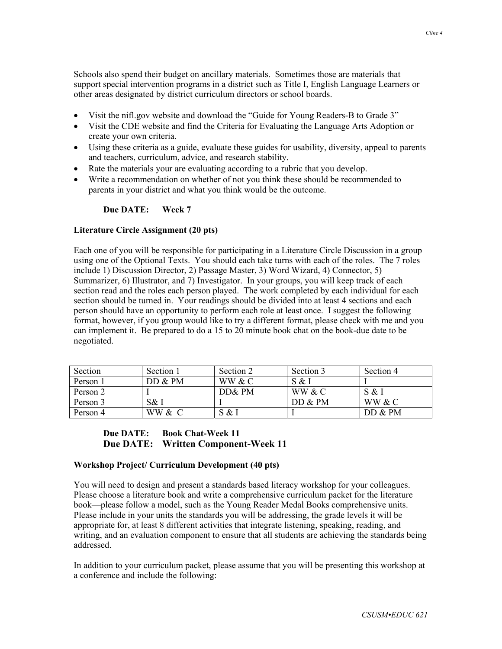Schools also spend their budget on ancillary materials. Sometimes those are materials that support special intervention programs in a district such as Title I, English Language Learners or other areas designated by district curriculum directors or school boards.

- Visit the nifl.gov website and download the "Guide for Young Readers-B to Grade 3"
- Visit the CDE website and find the Criteria for Evaluating the Language Arts Adoption or create your own criteria.
- Using these criteria as a guide, evaluate these guides for usability, diversity, appeal to parents and teachers, curriculum, advice, and research stability.
- Rate the materials your are evaluating according to a rubric that you develop.
- Write a recommendation on whether of not you think these should be recommended to parents in your district and what you think would be the outcome.

## **Due DATE: Week 7**

## **Literature Circle Assignment (20 pts)**

Each one of you will be responsible for participating in a Literature Circle Discussion in a group using one of the Optional Texts. You should each take turns with each of the roles. The 7 roles include 1) Discussion Director, 2) Passage Master, 3) Word Wizard, 4) Connector, 5) Summarizer, 6) Illustrator, and 7) Investigator. In your groups, you will keep track of each section read and the roles each person played. The work completed by each individual for each section should be turned in. Your readings should be divided into at least 4 sections and each person should have an opportunity to perform each role at least once. I suggest the following format, however, if you group would like to try a different format, please check with me and you can implement it. Be prepared to do a 15 to 20 minute book chat on the book-due date to be negotiated.

| Section  | Section 1 | Section 2 | Section 3 | Section 4 |
|----------|-----------|-----------|-----------|-----------|
| Person 1 | DD & PM   | WW & C    | S & I     |           |
| Person 2 |           | DD& PM    | WW & C    | S & I     |
| Person 3 | S& I      |           | DD & PM   | WW & C    |
| Person 4 | WW & C    | S & l     |           | DD & PM   |

## **Due DATE: Book Chat-Week 11 Due DATE: Written Component-Week 11**

## **Workshop Project/ Curriculum Development (40 pts)**

You will need to design and present a standards based literacy workshop for your colleagues. Please choose a literature book and write a comprehensive curriculum packet for the literature book—please follow a model, such as the Young Reader Medal Books comprehensive units. Please include in your units the standards you will be addressing, the grade levels it will be appropriate for, at least 8 different activities that integrate listening, speaking, reading, and writing, and an evaluation component to ensure that all students are achieving the standards being addressed.

In addition to your curriculum packet, please assume that you will be presenting this workshop at a conference and include the following: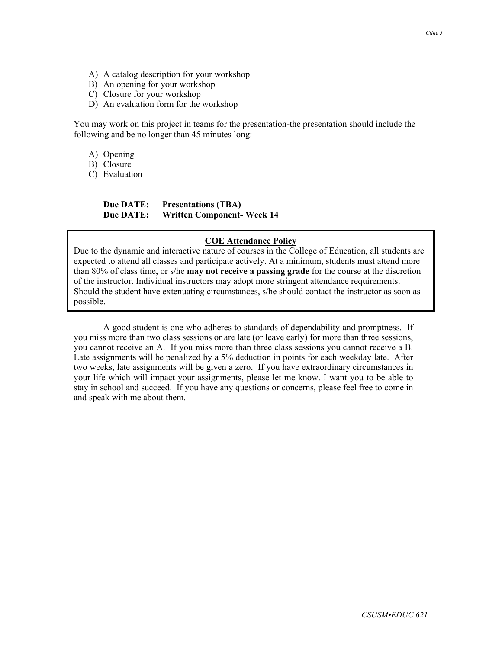- A) A catalog description for your workshop
- B) An opening for your workshop
- C) Closure for your workshop
- D) An evaluation form for the workshop

You may work on this project in teams for the presentation-the presentation should include the following and be no longer than 45 minutes long:

A) Opening

B) Closure

C) Evaluation

## **Due DATE: Presentations (TBA) Due DATE: Written Component- Week 14**

## **COE Attendance Policy**

Due to the dynamic and interactive nature of courses in the College of Education, all students are expected to attend all classes and participate actively. At a minimum, students must attend more than 80% of class time, or s/he **may not receive a passing grade** for the course at the discretion of the instructor. Individual instructors may adopt more stringent attendance requirements. Should the student have extenuating circumstances, s/he should contact the instructor as soon as possible.

 A good student is one who adheres to standards of dependability and promptness. If you miss more than two class sessions or are late (or leave early) for more than three sessions, you cannot receive an A. If you miss more than three class sessions you cannot receive a B. Late assignments will be penalized by a 5% deduction in points for each weekday late. After two weeks, late assignments will be given a zero. If you have extraordinary circumstances in your life which will impact your assignments, please let me know. I want you to be able to stay in school and succeed. If you have any questions or concerns, please feel free to come in and speak with me about them.